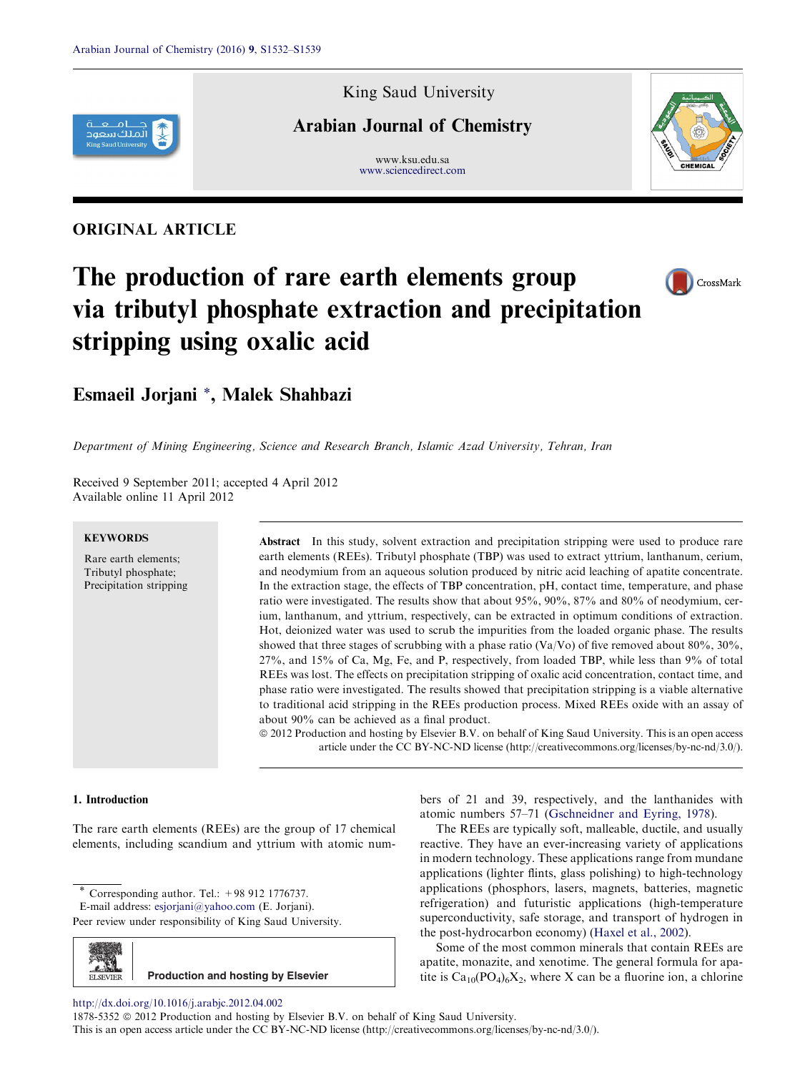

## ORIGINAL ARTICLE

King Saud University

# Arabian Journal of Chemistry

www.ksu.edu.sa [www.sciencedirect.com](http://www.sciencedirect.com/science/journal/18785352)



# The production of rare earth elements group via tributyl phosphate extraction and precipitation stripping using oxalic acid



# Esmaeil Jorjani \*, Malek Shahbazi

Department of Mining Engineering, Science and Research Branch, Islamic Azad University, Tehran, Iran

Received 9 September 2011; accepted 4 April 2012 Available online 11 April 2012

#### **KEYWORDS**

Rare earth elements; Tributyl phosphate; Precipitation stripping Abstract In this study, solvent extraction and precipitation stripping were used to produce rare earth elements (REEs). Tributyl phosphate (TBP) was used to extract yttrium, lanthanum, cerium, and neodymium from an aqueous solution produced by nitric acid leaching of apatite concentrate. In the extraction stage, the effects of TBP concentration, pH, contact time, temperature, and phase ratio were investigated. The results show that about 95%, 90%, 87% and 80% of neodymium, cerium, lanthanum, and yttrium, respectively, can be extracted in optimum conditions of extraction. Hot, deionized water was used to scrub the impurities from the loaded organic phase. The results showed that three stages of scrubbing with a phase ratio (Va/Vo) of five removed about 80%, 30%, 27%, and 15% of Ca, Mg, Fe, and P, respectively, from loaded TBP, while less than 9% of total REEs was lost. The effects on precipitation stripping of oxalic acid concentration, contact time, and phase ratio were investigated. The results showed that precipitation stripping is a viable alternative to traditional acid stripping in the REEs production process. Mixed REEs oxide with an assay of about 90% can be achieved as a final product.

ª 2012 Production and hosting by Elsevier B.V. on behalf of King Saud University. This is an open access article under the CC BY-NC-ND license (http://creativecommons.org/licenses/by-nc-nd/3.0/).

#### 1. Introduction

The rare earth elements (REEs) are the group of 17 chemical elements, including scandium and yttrium with atomic num-

Corresponding author. Tel.:  $+98$  912 1776737.

E-mail address: [esjorjani@yahoo.com](mailto:esjorjani@yahoo.com) (E. Jorjani).

Peer review under responsibility of King Saud University.



bers of 21 and 39, respectively, and the lanthanides with atomic numbers 57–71 [\(Gschneidner and Eyring, 1978\)](#page-6-0).

The REEs are typically soft, malleable, ductile, and usually reactive. They have an ever-increasing variety of applications in modern technology. These applications range from mundane applications (lighter flints, glass polishing) to high-technology applications (phosphors, lasers, magnets, batteries, magnetic refrigeration) and futuristic applications (high-temperature superconductivity, safe storage, and transport of hydrogen in the post-hydrocarbon economy) ([Haxel et al., 2002](#page-6-0)).

Some of the most common minerals that contain REEs are apatite, monazite, and xenotime. The general formula for apatite is  $Ca_{10}(PO_4)_6X_2$ , where X can be a fluorine ion, a chlorine

<http://dx.doi.org/10.1016/j.arabjc.2012.04.002>

1878-5352  $\circledcirc$  2012 Production and hosting by Elsevier B.V. on behalf of King Saud University. This is an open access article under the CC BY-NC-ND license (http://creativecommons.org/licenses/by-nc-nd/3.0/).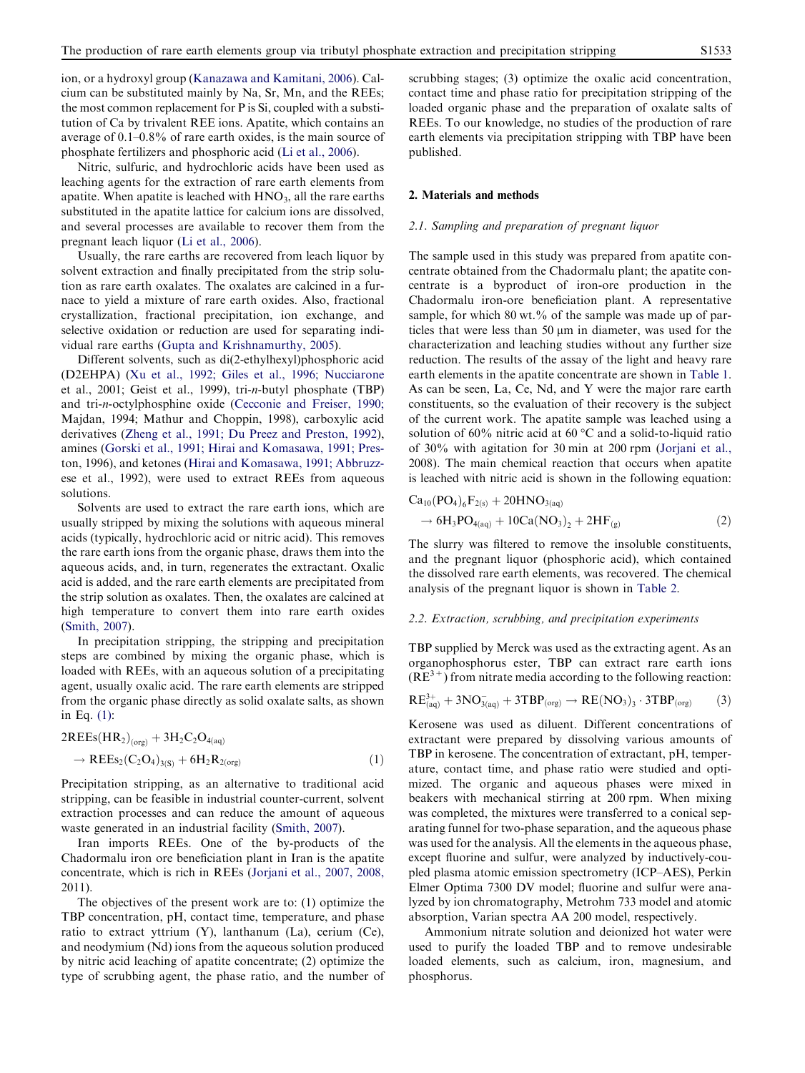ion, or a hydroxyl group ([Kanazawa and Kamitani, 2006\)](#page-6-0). Calcium can be substituted mainly by Na, Sr, Mn, and the REEs; the most common replacement for P is Si, coupled with a substitution of Ca by trivalent REE ions. Apatite, which contains an average of 0.1–0.8% of rare earth oxides, is the main source of phosphate fertilizers and phosphoric acid ([Li et al., 2006\)](#page-6-0).

Nitric, sulfuric, and hydrochloric acids have been used as leaching agents for the extraction of rare earth elements from apatite. When apatite is leached with  $HNO<sub>3</sub>$ , all the rare earths substituted in the apatite lattice for calcium ions are dissolved, and several processes are available to recover them from the pregnant leach liquor [\(Li et al., 2006](#page-6-0)).

Usually, the rare earths are recovered from leach liquor by solvent extraction and finally precipitated from the strip solution as rare earth oxalates. The oxalates are calcined in a furnace to yield a mixture of rare earth oxides. Also, fractional crystallization, fractional precipitation, ion exchange, and selective oxidation or reduction are used for separating individual rare earths ([Gupta and Krishnamurthy, 2005](#page-6-0)).

Different solvents, such as di(2-ethylhexyl)phosphoric acid (D2EHPA) [\(Xu et al., 1992; Giles et al., 1996; Nucciarone](#page-7-0) [et al., 2001; Geist et al., 1999](#page-7-0)), tri-n-butyl phosphate (TBP) and tri-n-octylphosphine oxide ([Cecconie and Freiser, 1990;](#page-6-0) [Majdan, 1994; Mathur and Choppin, 1998\)](#page-6-0), carboxylic acid derivatives ([Zheng et al., 1991; Du Preez and Preston, 1992](#page-7-0)), amines ([Gorski et al., 1991; Hirai and Komasawa, 1991; Pres](#page-6-0)[ton, 1996\)](#page-6-0), and ketones [\(Hirai and Komasawa, 1991; Abbruzz](#page-6-0)[ese et al., 1992](#page-6-0)), were used to extract REEs from aqueous solutions.

Solvents are used to extract the rare earth ions, which are usually stripped by mixing the solutions with aqueous mineral acids (typically, hydrochloric acid or nitric acid). This removes the rare earth ions from the organic phase, draws them into the aqueous acids, and, in turn, regenerates the extractant. Oxalic acid is added, and the rare earth elements are precipitated from the strip solution as oxalates. Then, the oxalates are calcined at high temperature to convert them into rare earth oxides [\(Smith, 2007](#page-7-0)).

In precipitation stripping, the stripping and precipitation steps are combined by mixing the organic phase, which is loaded with REEs, with an aqueous solution of a precipitating agent, usually oxalic acid. The rare earth elements are stripped from the organic phase directly as solid oxalate salts, as shown in Eq. (1):

$$
2REEs(HR2)(org) + 3H2C2O4(aq)
$$
  

$$
\rightarrow REEs2(C2O4)3(S) + 6H2R2(org)
$$
 (1)

Precipitation stripping, as an alternative to traditional acid stripping, can be feasible in industrial counter-current, solvent extraction processes and can reduce the amount of aqueous waste generated in an industrial facility [\(Smith, 2007](#page-7-0)).

Iran imports REEs. One of the by-products of the Chadormalu iron ore beneficiation plant in Iran is the apatite concentrate, which is rich in REEs [\(Jorjani et al., 2007, 2008,](#page-6-0) [2011](#page-6-0)).

The objectives of the present work are to: (1) optimize the TBP concentration, pH, contact time, temperature, and phase ratio to extract yttrium (Y), lanthanum (La), cerium (Ce), and neodymium (Nd) ions from the aqueous solution produced by nitric acid leaching of apatite concentrate; (2) optimize the type of scrubbing agent, the phase ratio, and the number of scrubbing stages; (3) optimize the oxalic acid concentration, contact time and phase ratio for precipitation stripping of the loaded organic phase and the preparation of oxalate salts of REEs. To our knowledge, no studies of the production of rare earth elements via precipitation stripping with TBP have been published.

#### 2. Materials and methods

## 2.1. Sampling and preparation of pregnant liquor

The sample used in this study was prepared from apatite concentrate obtained from the Chadormalu plant; the apatite concentrate is a byproduct of iron-ore production in the Chadormalu iron-ore beneficiation plant. A representative sample, for which  $80 \text{ wt.} %$  of the sample was made up of particles that were less than 50  $\mu$ m in diameter, was used for the characterization and leaching studies without any further size reduction. The results of the assay of the light and heavy rare earth elements in the apatite concentrate are shown in [Table 1](#page-2-0). As can be seen, La, Ce, Nd, and Y were the major rare earth constituents, so the evaluation of their recovery is the subject of the current work. The apatite sample was leached using a solution of 60% nitric acid at 60  $\degree$ C and a solid-to-liquid ratio of 30% with agitation for 30 min at 200 rpm ([Jorjani et al.,](#page-6-0) [2008](#page-6-0)). The main chemical reaction that occurs when apatite is leached with nitric acid is shown in the following equation:

$$
Ca_{10}(PO_4)_6F_{2(s)} + 20HNO_{3(aq)}\n\rightarrow 6H_3PO_{4(aq)} + 10Ca(NO_3)_2 + 2HF_{(g)}
$$
\n(2)

The slurry was filtered to remove the insoluble constituents, and the pregnant liquor (phosphoric acid), which contained the dissolved rare earth elements, was recovered. The chemical analysis of the pregnant liquor is shown in [Table 2.](#page-2-0)

#### 2.2. Extraction, scrubbing, and precipitation experiments

TBP supplied by Merck was used as the extracting agent. As an organophosphorus ester, TBP can extract rare earth ions  $(RE<sup>3+</sup>)$  from nitrate media according to the following reaction:

$$
RE^{3+}_{(aq)}+3NO^{-}_{3(aq)}+3TBP_{(org)}\rightarrow RE(NO_3)_3\cdot3TBP_{(org)}\hspace{1cm}(3)
$$

Kerosene was used as diluent. Different concentrations of extractant were prepared by dissolving various amounts of TBP in kerosene. The concentration of extractant, pH, temperature, contact time, and phase ratio were studied and optimized. The organic and aqueous phases were mixed in beakers with mechanical stirring at 200 rpm. When mixing was completed, the mixtures were transferred to a conical separating funnel for two-phase separation, and the aqueous phase was used for the analysis. All the elements in the aqueous phase, except fluorine and sulfur, were analyzed by inductively-coupled plasma atomic emission spectrometry (ICP–AES), Perkin Elmer Optima 7300 DV model; fluorine and sulfur were analyzed by ion chromatography, Metrohm 733 model and atomic absorption, Varian spectra AA 200 model, respectively.

Ammonium nitrate solution and deionized hot water were used to purify the loaded TBP and to remove undesirable loaded elements, such as calcium, iron, magnesium, and phosphorus.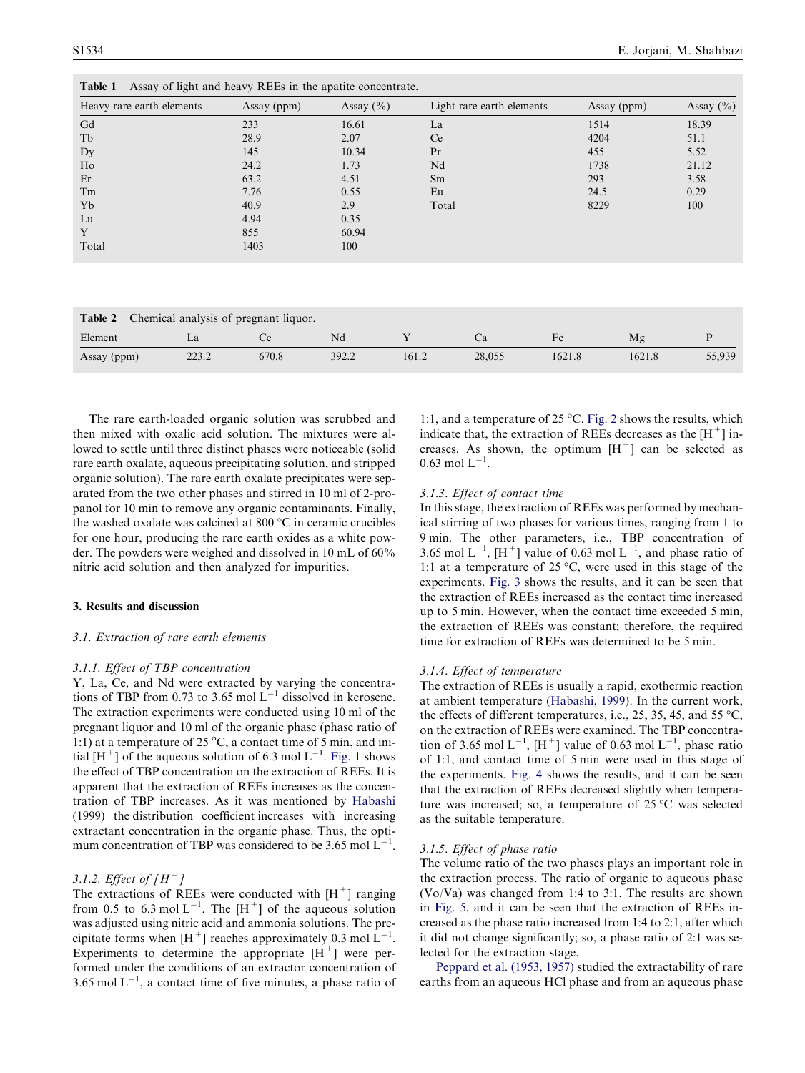| Heavy rare earth elements | Assay (ppm) | Assay $(\% )$ | Light rare earth elements | Assay (ppm) | Assay $(\% )$ |
|---------------------------|-------------|---------------|---------------------------|-------------|---------------|
| Gd                        | 233         | 16.61         | La                        | 1514        | 18.39         |
| Tb                        | 28.9        | 2.07          | Ce <sup>1</sup>           | 4204        | 51.1          |
| Dy                        | 145         | 10.34         | Pr                        | 455         | 5.52          |
| Ho                        | 24.2        | 1.73          | Nd                        | 1738        | 21.12         |
| Er                        | 63.2        | 4.51          | Sm                        | 293         | 3.58          |
| Tm                        | 7.76        | 0.55          | Eu                        | 24.5        | 0.29          |
| Yb                        | 40.9        | 2.9           | Total                     | 8229        | 100           |
| Lu                        | 4.94        | 0.35          |                           |             |               |
| Y                         | 855         | 60.94         |                           |             |               |
| Total                     | 1403        | 100           |                           |             |               |

| Table 2<br>Chemical analysis of pregnant liquor. |       |       |       |       |        |        |        |        |
|--------------------------------------------------|-------|-------|-------|-------|--------|--------|--------|--------|
| Element                                          | ∟a    |       | Nd    |       |        |        | Мg     |        |
| Assay (ppm)                                      | 223.2 | 670.8 | 392.2 | 161.2 | 28,055 | 1621.8 | 1621.8 | 55,939 |

The rare earth-loaded organic solution was scrubbed and then mixed with oxalic acid solution. The mixtures were allowed to settle until three distinct phases were noticeable (solid rare earth oxalate, aqueous precipitating solution, and stripped organic solution). The rare earth oxalate precipitates were separated from the two other phases and stirred in 10 ml of 2-propanol for 10 min to remove any organic contaminants. Finally, the washed oxalate was calcined at  $800\text{ °C}$  in ceramic crucibles for one hour, producing the rare earth oxides as a white powder. The powders were weighed and dissolved in 10 mL of 60% nitric acid solution and then analyzed for impurities.

<span id="page-2-0"></span> $T$ 

#### 3. Results and discussion

## 3.1. Extraction of rare earth elements

#### 3.1.1. Effect of TBP concentration

Y, La, Ce, and Nd were extracted by varying the concentrations of TBP from 0.73 to 3.65 mol  $L^{-1}$  dissolved in kerosene. The extraction experiments were conducted using 10 ml of the pregnant liquor and 10 ml of the organic phase (phase ratio of 1:1) at a temperature of 25  $\rm{^{\circ}C}$ , a contact time of 5 min, and initial  $[H^+]$  of the aqueous solution of 6.3 mol  $L^{-1}$ . [Fig. 1](#page-3-0) shows the effect of TBP concentration on the extraction of REEs. It is apparent that the extraction of REEs increases as the concentration of TBP increases. As it was mentioned by [Habashi](#page-6-0) [\(1999\)](#page-6-0) the distribution coefficient increases with increasing extractant concentration in the organic phase. Thus, the optimum concentration of TBP was considered to be 3.65 mol  $L^{-1}$ .

#### 3.1.2. Effect of  $[H^+]$

The extractions of REEs were conducted with  $[H^+]$  ranging from 0.5 to 6.3 mol  $L^{-1}$ . The  $[H^+]$  of the aqueous solution was adjusted using nitric acid and ammonia solutions. The precipitate forms when  $[H^+]$  reaches approximately 0.3 mol  $L^{-1}$ . Experiments to determine the appropriate  $[H^+]$  were performed under the conditions of an extractor concentration of 3.65 mol  $L^{-1}$ , a contact time of five minutes, a phase ratio of

1:1, and a temperature of 25 °C. [Fig. 2](#page-3-0) shows the results, which indicate that, the extraction of REEs decreases as the  $[H^+]$  increases. As shown, the optimum  $[H^+]$  can be selected as  $0.63 \text{ mol L}^{-1}$ .

#### 3.1.3. Effect of contact time

In this stage, the extraction of REEs was performed by mechanical stirring of two phases for various times, ranging from 1 to 9 min. The other parameters, i.e., TBP concentration of 3.65 mol  $L^{-1}$ ,  $[H^+]$  value of 0.63 mol  $L^{-1}$ , and phase ratio of 1:1 at a temperature of 25 °C, were used in this stage of the experiments. [Fig. 3](#page-3-0) shows the results, and it can be seen that the extraction of REEs increased as the contact time increased up to 5 min. However, when the contact time exceeded 5 min, the extraction of REEs was constant; therefore, the required time for extraction of REEs was determined to be 5 min.

#### 3.1.4. Effect of temperature

The extraction of REEs is usually a rapid, exothermic reaction at ambient temperature [\(Habashi, 1999\)](#page-6-0). In the current work, the effects of different temperatures, i.e., 25, 35, 45, and 55  $^{\circ}$ C, on the extraction of REEs were examined. The TBP concentration of 3.65 mol  $L^{-1}$ ,  $[H^+]$  value of 0.63 mol  $L^{-1}$ , phase ratio of 1:1, and contact time of 5 min were used in this stage of the experiments. [Fig. 4](#page-4-0) shows the results, and it can be seen that the extraction of REEs decreased slightly when temperature was increased; so, a temperature of  $25^{\circ}$ C was selected as the suitable temperature.

#### 3.1.5. Effect of phase ratio

The volume ratio of the two phases plays an important role in the extraction process. The ratio of organic to aqueous phase (Vo/Va) was changed from 1:4 to 3:1. The results are shown in [Fig. 5,](#page-4-0) and it can be seen that the extraction of REEs increased as the phase ratio increased from 1:4 to 2:1, after which it did not change significantly; so, a phase ratio of 2:1 was selected for the extraction stage.

[Peppard et al. \(1953, 1957\)](#page-7-0) studied the extractability of rare earths from an aqueous HCl phase and from an aqueous phase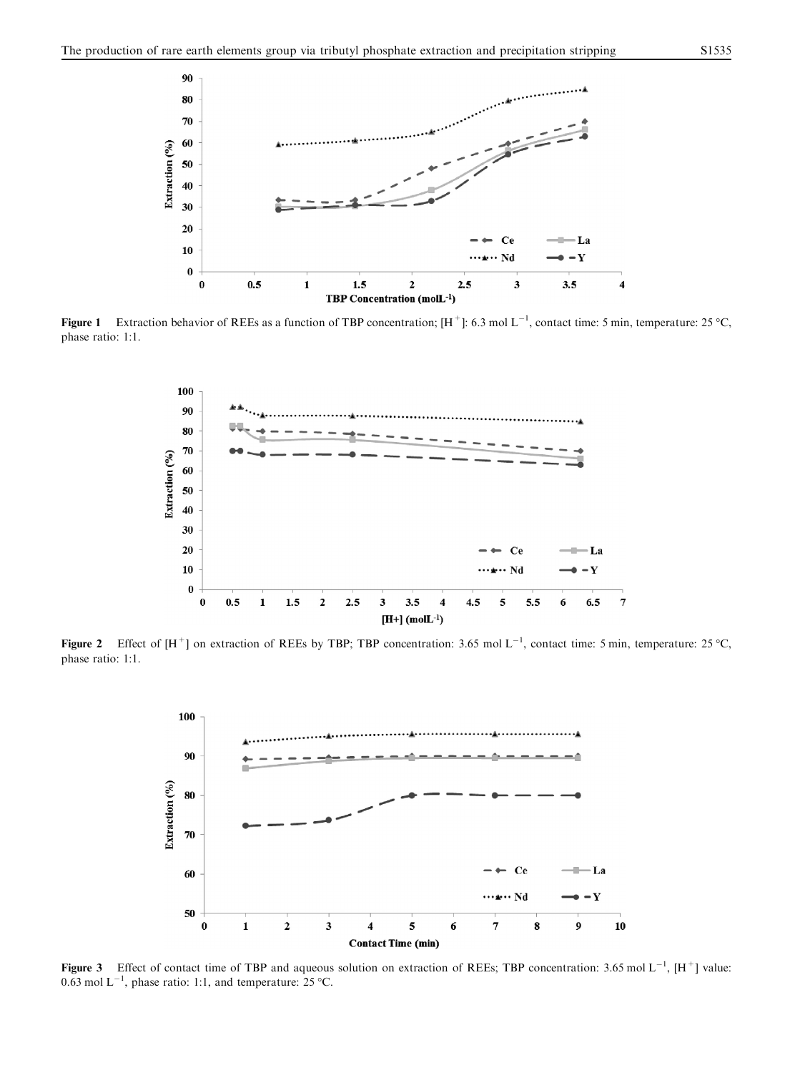<span id="page-3-0"></span>

**Figure 1** Extraction behavior of REEs as a function of TBP concentration;  $[H^+]$ : 6.3 mol L<sup>-1</sup>, contact time: 5 min, temperature: 25 °C, phase ratio: 1:1.



Figure 2 Effect of  $[H^+]$  on extraction of REEs by TBP; TBP concentration: 3.65 mol L<sup>-1</sup>, contact time: 5 min, temperature: 25 °C, phase ratio: 1:1.



Figure 3 Effect of contact time of TBP and aqueous solution on extraction of REEs; TBP concentration: 3.65 mol  $L^{-1}$ ,  $[H^+]$  value: 0.63 mol  $L^{-1}$ , phase ratio: 1:1, and temperature: 25 °C.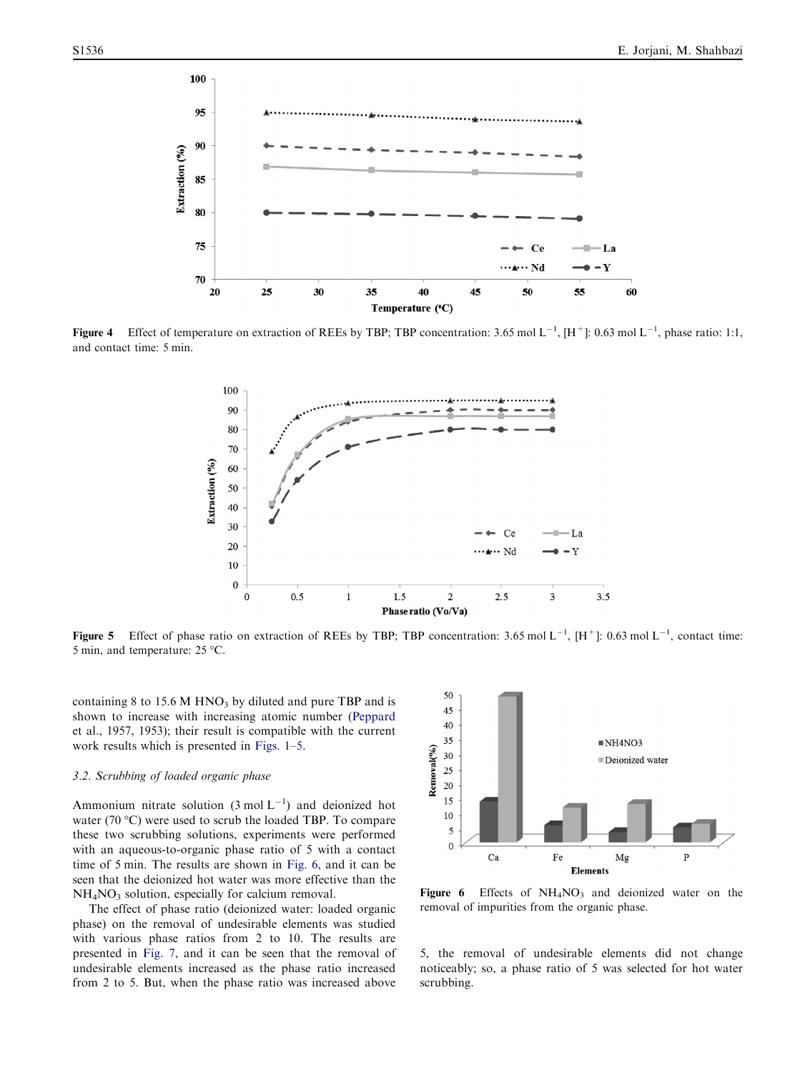<span id="page-4-0"></span>

**Figure 4** Effect of temperature on extraction of REEs by TBP; TBP concentration: 3.65 mol L<sup>-1</sup>, [H<sup>+</sup>]: 0.63 mol L<sup>-1</sup>, phase ratio: 1:1, and contact time: 5 min.



**Figure 5** Effect of phase ratio on extraction of REEs by TBP; TBP concentration: 3.65 mol L<sup>-1</sup>, [H<sup>+</sup>]: 0.63 mol L<sup>-1</sup>, contact time: 5 min, and temperature:  $25^{\circ}$ C.

containing 8 to 15.6 M HNO<sub>3</sub> by diluted and pure TBP and is shown to increase with increasing atomic number ([Peppard](#page-7-0) [et al., 1957, 1953\)](#page-7-0); their result is compatible with the current work results which is presented in [Figs. 1–5.](#page-3-0)

## 3.2. Scrubbing of loaded organic phase

Ammonium nitrate solution  $(3 \text{ mol L}^{-1})$  and deionized hot water (70  $\degree$ C) were used to scrub the loaded TBP. To compare these two scrubbing solutions, experiments were performed with an aqueous-to-organic phase ratio of 5 with a contact time of 5 min. The results are shown in Fig. 6, and it can be seen that the deionized hot water was more effective than the  $NH<sub>4</sub>NO<sub>3</sub>$  solution, especially for calcium removal.

The effect of phase ratio (deionized water: loaded organic phase) on the removal of undesirable elements was studied with various phase ratios from 2 to 10. The results are presented in [Fig. 7,](#page-5-0) and it can be seen that the removal of undesirable elements increased as the phase ratio increased from 2 to 5. But, when the phase ratio was increased above



Figure 6 Effects of  $NH<sub>4</sub>NO<sub>3</sub>$  and deionized water on the removal of impurities from the organic phase.

5, the removal of undesirable elements did not change noticeably; so, a phase ratio of 5 was selected for hot water scrubbing.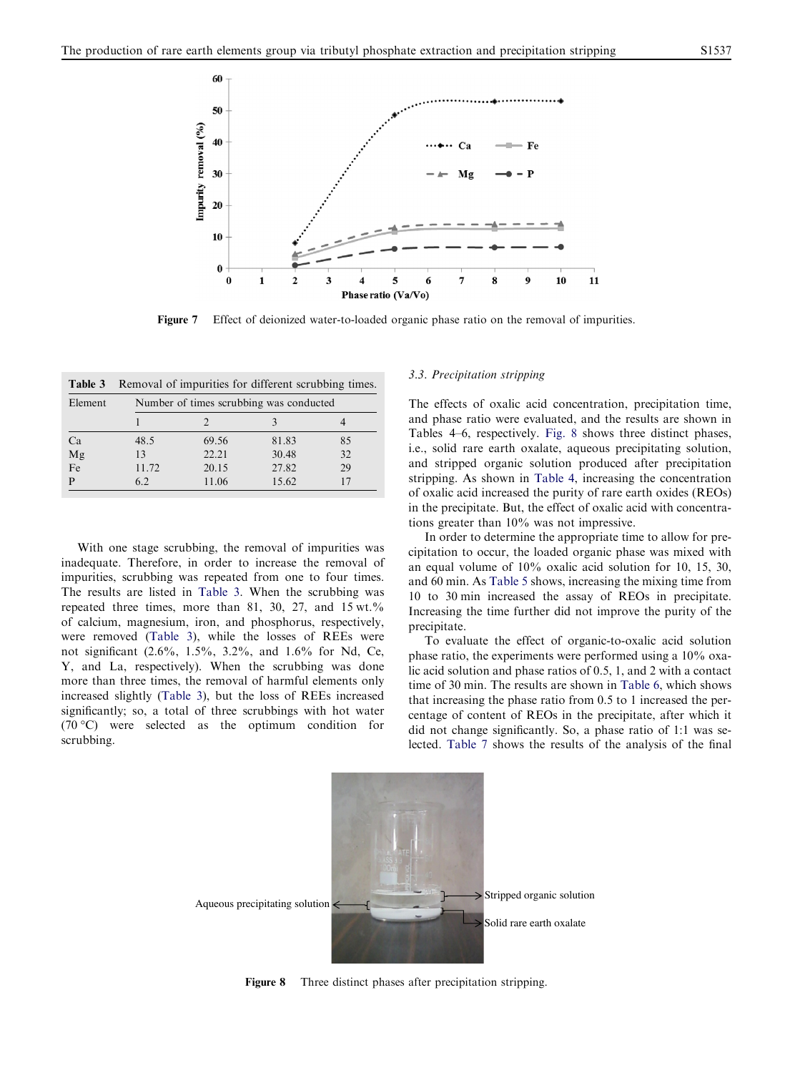<span id="page-5-0"></span>

Figure 7 Effect of deionized water-to-loaded organic phase ratio on the removal of impurities.

| Table 3    | Removal of impurities for different scrubbing times. |       |    |  |  |  |  |  |
|------------|------------------------------------------------------|-------|----|--|--|--|--|--|
| Element    | Number of times scrubbing was conducted              |       |    |  |  |  |  |  |
|            |                                                      |       |    |  |  |  |  |  |
| Ca<br>48.5 | 69.56                                                | 81.83 | 85 |  |  |  |  |  |
| Mg<br>13   | 22.21                                                | 30.48 | 32 |  |  |  |  |  |
| Fe         | 11.72<br>20.15                                       | 27.82 | 29 |  |  |  |  |  |
| 6.2<br>P   | 11.06                                                | 15.62 |    |  |  |  |  |  |

With one stage scrubbing, the removal of impurities was inadequate. Therefore, in order to increase the removal of impurities, scrubbing was repeated from one to four times. The results are listed in Table 3. When the scrubbing was repeated three times, more than 81, 30, 27, and 15 wt.% of calcium, magnesium, iron, and phosphorus, respectively, were removed (Table 3), while the losses of REEs were not significant (2.6%, 1.5%, 3.2%, and 1.6% for Nd, Ce, Y, and La, respectively). When the scrubbing was done more than three times, the removal of harmful elements only increased slightly (Table 3), but the loss of REEs increased significantly; so, a total of three scrubbings with hot water  $(70 °C)$  were selected as the optimum condition for scrubbing.

#### 3.3. Precipitation stripping

The effects of oxalic acid concentration, precipitation time, and phase ratio were evaluated, and the results are shown in [Tables 4–6](#page-6-0), respectively. Fig. 8 shows three distinct phases, i.e., solid rare earth oxalate, aqueous precipitating solution, and stripped organic solution produced after precipitation stripping. As shown in [Table 4](#page-6-0), increasing the concentration of oxalic acid increased the purity of rare earth oxides (REOs) in the precipitate. But, the effect of oxalic acid with concentrations greater than 10% was not impressive.

In order to determine the appropriate time to allow for precipitation to occur, the loaded organic phase was mixed with an equal volume of 10% oxalic acid solution for 10, 15, 30, and 60 min. As [Table 5](#page-6-0) shows, increasing the mixing time from 10 to 30 min increased the assay of REOs in precipitate. Increasing the time further did not improve the purity of the precipitate.

To evaluate the effect of organic-to-oxalic acid solution phase ratio, the experiments were performed using a 10% oxalic acid solution and phase ratios of 0.5, 1, and 2 with a contact time of 30 min. The results are shown in [Table 6](#page-6-0), which shows that increasing the phase ratio from 0.5 to 1 increased the percentage of content of REOs in the precipitate, after which it did not change significantly. So, a phase ratio of 1:1 was selected. [Table 7](#page-6-0) shows the results of the analysis of the final



Figure 8 Three distinct phases after precipitation stripping.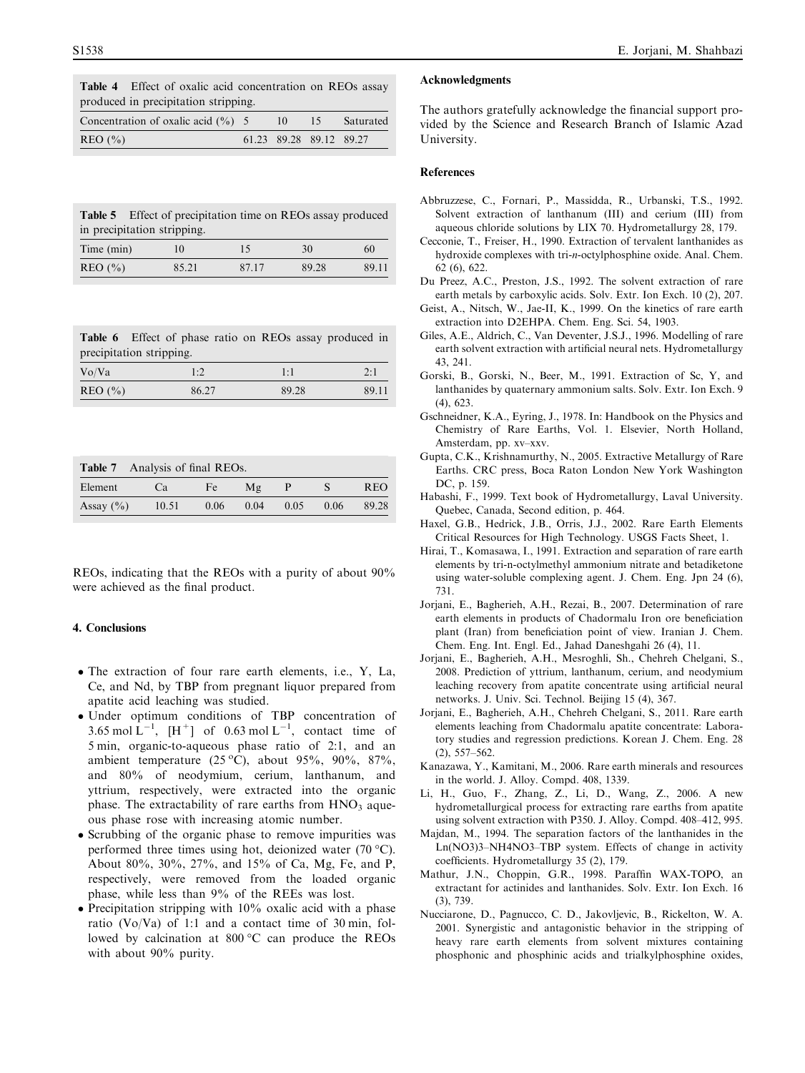<span id="page-6-0"></span>Table 4 Effect of oxalic acid concentration on REOs assay produced in precipitation stripping.

| Concentration of oxalic acid $(\% )$ 5 |  |                         | Saturated |
|----------------------------------------|--|-------------------------|-----------|
| RED(%)                                 |  | 61.23 89.28 89.12 89.27 |           |

|                             | <b>Table 5</b> Effect of precipitation time on REOs assay produced |    |    |    |  |  |
|-----------------------------|--------------------------------------------------------------------|----|----|----|--|--|
| in precipitation stripping. |                                                                    |    |    |    |  |  |
| Time (min)                  | 10                                                                 | 15 | 30 | 60 |  |  |

REO (%) 85.21 87.17 89.28 89.11

|                                                                                                 |  |  | <b>Table 6</b> Effect of phase ratio on REOs assay produced in |  |
|-------------------------------------------------------------------------------------------------|--|--|----------------------------------------------------------------|--|
| the contract of the contract of the contract of the contract of the contract of the contract of |  |  |                                                                |  |

| precipitation stripping. |       |       |       |  |  |
|--------------------------|-------|-------|-------|--|--|
| Vo/Va                    | 1:2   | 1:1   | 2:1   |  |  |
| RED(%)                   | 86.27 | 89.28 | 89.11 |  |  |

| Table 7       | Analysis of final REOs. |              |      |      |      |            |  |
|---------------|-------------------------|--------------|------|------|------|------------|--|
| Element       | Ca.                     | Fe <i>Fe</i> | Mφ   |      |      | <b>REO</b> |  |
| Assay $(\% )$ | 10.51                   | 0.06         | 0.04 | 0.05 | 0.06 | 89.28      |  |

REOs, indicating that the REOs with a purity of about 90% were achieved as the final product.

#### 4. Conclusions

- The extraction of four rare earth elements, i.e., Y, La, Ce, and Nd, by TBP from pregnant liquor prepared from apatite acid leaching was studied.
- Under optimum conditions of TBP concentration of 3.65 mol  $L^{-1}$ ,  $[H^+]$  of 0.63 mol  $L^{-1}$ , contact time of 5 min, organic-to-aqueous phase ratio of 2:1, and an ambient temperature  $(25 °C)$ , about 95%, 90%, 87%, and 80% of neodymium, cerium, lanthanum, and yttrium, respectively, were extracted into the organic phase. The extractability of rare earths from  $HNO<sub>3</sub>$  aqueous phase rose with increasing atomic number.
- Scrubbing of the organic phase to remove impurities was performed three times using hot, deionized water  $(70 °C)$ . About 80%, 30%, 27%, and 15% of Ca, Mg, Fe, and P, respectively, were removed from the loaded organic phase, while less than 9% of the REEs was lost.
- Precipitation stripping with 10% oxalic acid with a phase ratio (Vo/Va) of 1:1 and a contact time of 30 min, followed by calcination at  $800\,^{\circ}\text{C}$  can produce the REOs with about 90% purity.

#### Acknowledgments

The authors gratefully acknowledge the financial support provided by the Science and Research Branch of Islamic Azad University.

#### References

- Abbruzzese, C., Fornari, P., Massidda, R., Urbanski, T.S., 1992. Solvent extraction of lanthanum (III) and cerium (III) from aqueous chloride solutions by LIX 70. Hydrometallurgy 28, 179.
- Cecconie, T., Freiser, H., 1990. Extraction of tervalent lanthanides as hydroxide complexes with tri-n-octylphosphine oxide. Anal. Chem. 62 (6), 622.
- Du Preez, A.C., Preston, J.S., 1992. The solvent extraction of rare earth metals by carboxylic acids. Solv. Extr. Ion Exch. 10 (2), 207.
- Geist, A., Nitsch, W., Jae-II, K., 1999. On the kinetics of rare earth extraction into D2EHPA. Chem. Eng. Sci. 54, 1903.
- Giles, A.E., Aldrich, C., Van Deventer, J.S.J., 1996. Modelling of rare earth solvent extraction with artificial neural nets. Hydrometallurgy 43, 241.
- Gorski, B., Gorski, N., Beer, M., 1991. Extraction of Sc, Y, and lanthanides by quaternary ammonium salts. Solv. Extr. Ion Exch. 9 (4), 623.
- Gschneidner, K.A., Eyring, J., 1978. In: Handbook on the Physics and Chemistry of Rare Earths, Vol. 1. Elsevier, North Holland, Amsterdam, pp. xv–xxv.
- Gupta, C.K., Krishnamurthy, N., 2005. Extractive Metallurgy of Rare Earths. CRC press, Boca Raton London New York Washington DC, p. 159.
- Habashi, F., 1999. Text book of Hydrometallurgy, Laval University. Quebec, Canada, Second edition, p. 464.
- Haxel, G.B., Hedrick, J.B., Orris, J.J., 2002. Rare Earth Elements Critical Resources for High Technology. USGS Facts Sheet, 1.
- Hirai, T., Komasawa, I., 1991. Extraction and separation of rare earth elements by tri-n-octylmethyl ammonium nitrate and betadiketone using water-soluble complexing agent. J. Chem. Eng. Jpn 24 (6), 731.
- Jorjani, E., Bagherieh, A.H., Rezai, B., 2007. Determination of rare earth elements in products of Chadormalu Iron ore beneficiation plant (Iran) from beneficiation point of view. Iranian J. Chem. Chem. Eng. Int. Engl. Ed., Jahad Daneshgahi 26 (4), 11.
- Jorjani, E., Bagherieh, A.H., Mesroghli, Sh., Chehreh Chelgani, S., 2008. Prediction of yttrium, lanthanum, cerium, and neodymium leaching recovery from apatite concentrate using artificial neural networks. J. Univ. Sci. Technol. Beijing 15 (4), 367.
- Jorjani, E., Bagherieh, A.H., Chehreh Chelgani, S., 2011. Rare earth elements leaching from Chadormalu apatite concentrate: Laboratory studies and regression predictions. Korean J. Chem. Eng. 28 (2), 557–562.
- Kanazawa, Y., Kamitani, M., 2006. Rare earth minerals and resources in the world. J. Alloy. Compd. 408, 1339.
- Li, H., Guo, F., Zhang, Z., Li, D., Wang, Z., 2006. A new hydrometallurgical process for extracting rare earths from apatite using solvent extraction with P350. J. Alloy. Compd. 408–412, 995.
- Majdan, M., 1994. The separation factors of the lanthanides in the Ln(NO3)3–NH4NO3–TBP system. Effects of change in activity coefficients. Hydrometallurgy 35 (2), 179.
- Mathur, J.N., Choppin, G.R., 1998. Paraffin WAX-TOPO, an extractant for actinides and lanthanides. Solv. Extr. Ion Exch. 16 (3), 739.
- Nucciarone, D., Pagnucco, C. D., Jakovljevic, B., Rickelton, W. A. 2001. Synergistic and antagonistic behavior in the stripping of heavy rare earth elements from solvent mixtures containing phosphonic and phosphinic acids and trialkylphosphine oxides,